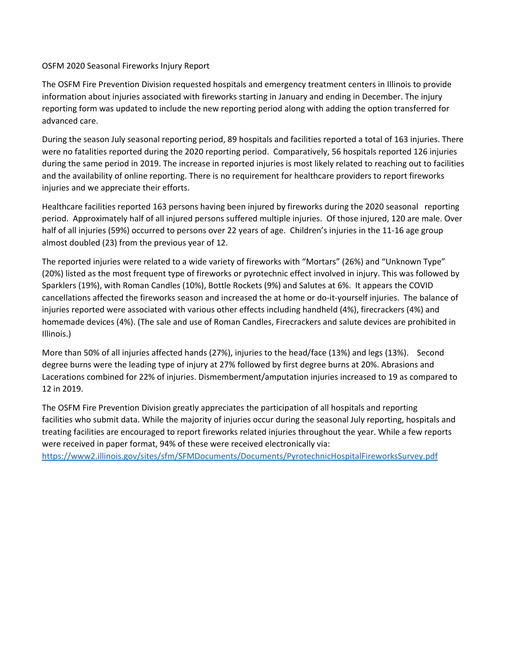OSFM 2020 Seasonal Fireworks Injury Report

The OSFM Fire Prevention Division requested hospitals and emergency treatment centers in Illinois to provide information about injuries associated with fireworks starting in January and ending in December. The injury reporting form was updated to include the new reporting period along with adding the option transferred for advanced care.

During the season July seasonal reporting period, 89 hospitals and facilities reported a total of 163 injuries. There were no fatalities reported during the 2020 reporting period. Comparatively, 56 hospitals reported 126 injuries during the same period in 2019. The increase in reported injuries is most likely related to reaching out to facilities and the availability of online reporting. There is no requirement for healthcare providers to report fireworks injuries and we appreciate their efforts.

Healthcare facilities reported 163 persons having been injured by fireworks during the 2020 seasonal reporting period. Approximately half of all injured persons suffered multiple injuries. Of those injured, 120 are male. Over half of all injuries (59%) occurred to persons over 22 years of age. Children's injuries in the 11-16 age group almost doubled (23) from the previous year of 12.

The reported injuries were related to a wide variety of fireworks with "Mortars" (26%) and "Unknown Type" (20%) listed as the most frequent type of fireworks or pyrotechnic effect involved in injury. This was followed by Sparklers (19%), with Roman Candles (10%), Bottle Rockets (9%) and Salutes at 6%. It appears the COVID cancellations affected the fireworks season and increased the at home or do-it-yourself injuries. The balance of injuries reported were associated with various other effects including handheld (4%), firecrackers (4%) and homemade devices (4%). (The sale and use of Roman Candles, Firecrackers and salute devices are prohibited in Illinois.)

More than 50% of all injuries affected hands (27%), injuries to the head/face (13%) and legs (13%). Second degree burns were the leading type of injury at 27% followed by first degree burns at 20%. Abrasions and Lacerations combined for 22% of injuries. Dismemberment/amputation injuries increased to 19 as compared to 12 in 2019.

The OSFM Fire Prevention Division greatly appreciates the participation of all hospitals and reporting facilities who submit data. While the majority of injuries occur during the seasonal July reporting, hospitals and treating facilities are encouraged to report fireworks related injuries throughout the year. While a few reports were received in paper format, 94% of these were received electronically via:

<https://www2.illinois.gov/sites/sfm/SFMDocuments/Documents/PyrotechnicHospitalFireworksSurvey.pdf>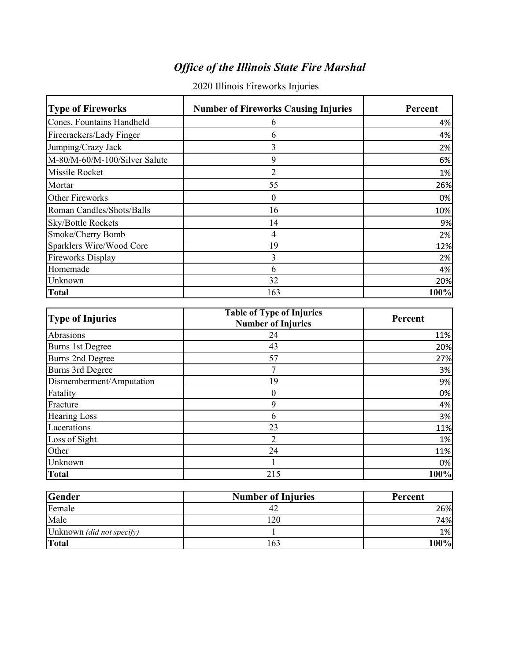## *Office of the Illinois State Fire Marshal*

| <b>Type of Fireworks</b>      | <b>Number of Fireworks Causing Injuries</b> | Percent |
|-------------------------------|---------------------------------------------|---------|
| Cones, Fountains Handheld     | 6                                           | 4%      |
| Firecrackers/Lady Finger      | 6                                           | 4%      |
| Jumping/Crazy Jack            | 3                                           | 2%      |
| M-80/M-60/M-100/Silver Salute | 9                                           | 6%      |
| Missile Rocket                | 2                                           | 1%      |
| Mortar                        | 55                                          | 26%     |
| <b>Other Fireworks</b>        | 0                                           | 0%      |
| Roman Candles/Shots/Balls     | 16                                          | 10%     |
| <b>Sky/Bottle Rockets</b>     | 14                                          | 9%      |
| Smoke/Cherry Bomb             | 4                                           | 2%      |
| Sparklers Wire/Wood Core      | 19                                          | 12%     |
| <b>Fireworks Display</b>      | 3                                           | 2%      |
| Homemade                      | 6                                           | 4%      |
| Unknown                       | 32                                          | 20%     |
| <b>Total</b>                  | 163                                         | 100%    |

2020 Illinois Fireworks Injuries

| <b>Type of Injuries</b>  | <b>Table of Type of Injuries</b><br><b>Number of Injuries</b> | Percent |
|--------------------------|---------------------------------------------------------------|---------|
| Abrasions                | 24                                                            | 11%     |
| <b>Burns 1st Degree</b>  | 43                                                            | 20%     |
| <b>Burns 2nd Degree</b>  | 57                                                            | 27%     |
| Burns 3rd Degree         |                                                               | 3%      |
| Dismemberment/Amputation | 19                                                            | 9%      |
| Fatality                 | 0                                                             | 0%      |
| Fracture                 | 9                                                             | 4%      |
| <b>Hearing Loss</b>      | 6                                                             | 3%      |
| Lacerations              | 23                                                            | 11%     |
| Loss of Sight            | $\overline{2}$                                                | 1%      |
| Other                    | 24                                                            | 11%     |
| Unknown                  |                                                               | 0%      |
| <b>Total</b>             | 215                                                           | 100%    |

| Gender                    | <b>Number of Injuries</b> | Percent |
|---------------------------|---------------------------|---------|
| Female                    |                           | 26%     |
| Male                      | 20                        | 74%     |
| Unknown (did not specify) |                           | $1\%$   |
| <b>Total</b>              | 63                        | 100%    |